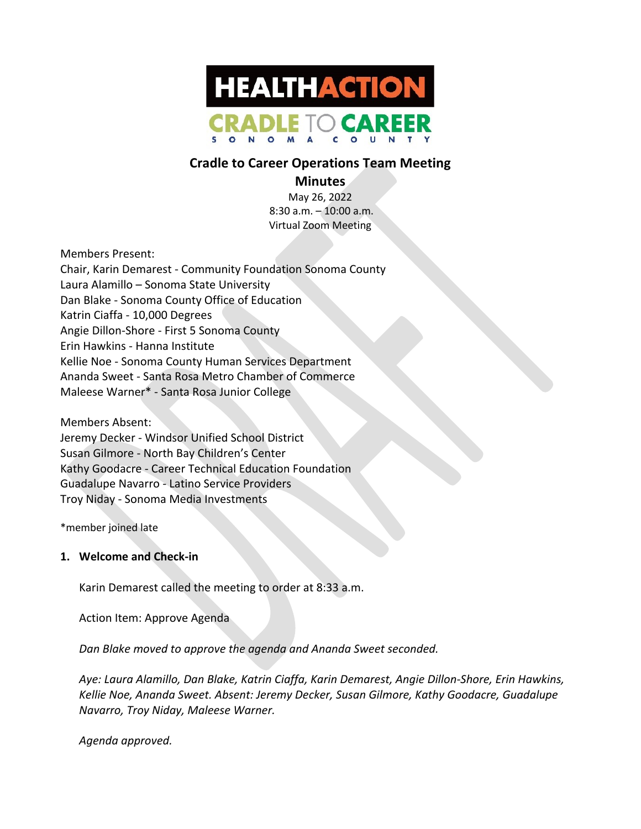

# **Cradle to Career Operations Team Meeting**

# **Minutes**

May 26, 2022 8:30 a.m. – 10:00 a.m. Virtual Zoom Meeting

Members Present:

Chair, Karin Demarest - Community Foundation Sonoma County Laura Alamillo – Sonoma State University Dan Blake - Sonoma County Office of Education Katrin Ciaffa - 10,000 Degrees Angie Dillon-Shore - First 5 Sonoma County Erin Hawkins - Hanna Institute Kellie Noe - Sonoma County Human Services Department Ananda Sweet - Santa Rosa Metro Chamber of Commerce Maleese Warner\* - Santa Rosa Junior College

Members Absent: Jeremy Decker - Windsor Unified School District Susan Gilmore - North Bay Children's Center Kathy Goodacre - Career Technical Education Foundation Guadalupe Navarro - Latino Service Providers Troy Niday - Sonoma Media Investments

\*member joined late

## **1. Welcome and Check-in**

Karin Demarest called the meeting to order at 8:33 a.m.

Action Item: Approve Agenda

*Dan Blake moved to approve the agenda and Ananda Sweet seconded.*

*Aye: Laura Alamillo, Dan Blake, Katrin Ciaffa, Karin Demarest, Angie Dillon-Shore, Erin Hawkins, Kellie Noe, Ananda Sweet. Absent: Jeremy Decker, Susan Gilmore, Kathy Goodacre, Guadalupe Navarro, Troy Niday, Maleese Warner.*

*Agenda approved.*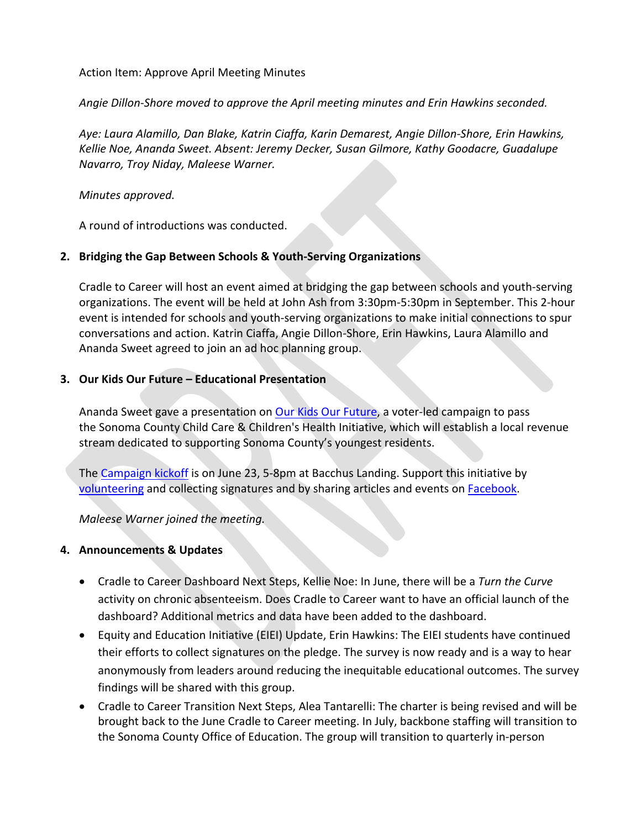Action Item: Approve April Meeting Minutes

*Angie Dillon-Shore moved to approve the April meeting minutes and Erin Hawkins seconded.* 

*Aye: Laura Alamillo, Dan Blake, Katrin Ciaffa, Karin Demarest, Angie Dillon-Shore, Erin Hawkins, Kellie Noe, Ananda Sweet. Absent: Jeremy Decker, Susan Gilmore, Kathy Goodacre, Guadalupe Navarro, Troy Niday, Maleese Warner.*

#### *Minutes approved.*

A round of introductions was conducted.

# **2. Bridging the Gap Between Schools & Youth-Serving Organizations**

Cradle to Career will host an event aimed at bridging the gap between schools and youth-serving organizations. The event will be held at John Ash from 3:30pm-5:30pm in September. This 2-hour event is intended for schools and youth-serving organizations to make initial connections to spur conversations and action. Katrin Ciaffa, Angie Dillon-Shore, Erin Hawkins, Laura Alamillo and Ananda Sweet agreed to join an ad hoc planning group.

## **3. Our Kids Our Future – Educational Presentation**

Ananda Sweet gave a presentation on Our Kids Our Future, a voter-led campaign to pass the Sonoma County Child Care & Children's Health Initiative, which will establish a local revenue stream dedicated to supporting Sonoma County's youngest residents.

The Campaign kickoff is on June 23, 5-8pm at Bacchus Landing. Support this initiative by volunteering and collecting signatures and by sharing articles and events on Facebook.

*Maleese Warner joined the meeting.*

## **4. Announcements & Updates**

- Cradle to Career Dashboard Next Steps, Kellie Noe: In June, there will be a *Turn the Curve* activity on chronic absenteeism. Does Cradle to Career want to have an official launch of the dashboard? Additional metrics and data have been added to the dashboard.
- Equity and Education Initiative (EIEI) Update, Erin Hawkins: The EIEI students have continued their efforts to collect signatures on the pledge. The survey is now ready and is a way to hear anonymously from leaders around reducing the inequitable educational outcomes. The survey findings will be shared with this group.
- Cradle to Career Transition Next Steps, Alea Tantarelli: The charter is being revised and will be brought back to the June Cradle to Career meeting. In July, backbone staffing will transition to the Sonoma County Office of Education. The group will transition to quarterly in-person